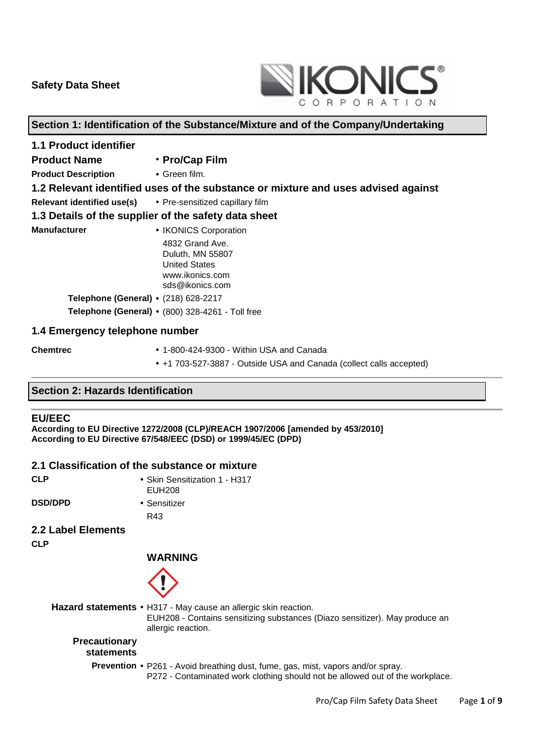

## **Section 1: Identification of the Substance/Mixture and of the Company/Undertaking**

| <b>1.1 Product identifier</b>                              |                                                                                                   |  |
|------------------------------------------------------------|---------------------------------------------------------------------------------------------------|--|
| <b>Product Name</b>                                        | • Pro/Cap Film                                                                                    |  |
| <b>Product Description</b>                                 | $\bullet$ Green film.                                                                             |  |
|                                                            | 1.2 Relevant identified uses of the substance or mixture and uses advised against                 |  |
| Relevant identified use(s) • Pre-sensitized capillary film |                                                                                                   |  |
|                                                            | 1.3 Details of the supplier of the safety data sheet                                              |  |
| <b>Manufacturer</b>                                        | • IKONICS Corporation                                                                             |  |
|                                                            | 4832 Grand Ave.<br>Duluth, MN 55807<br><b>United States</b><br>www.ikonics.com<br>sds@ikonics.com |  |
| Telephone (General) • (218) 628-2217                       |                                                                                                   |  |
|                                                            | Telephone (General) • (800) 328-4261 - Toll free                                                  |  |
| 1.4 Emergency telephone number                             |                                                                                                   |  |

- 
- **Chemtrec**  1-800-424-9300 Within USA and Canada
	- +1 703-527-3887 Outside USA and Canada (collect calls accepted)

#### **Section 2: Hazards Identification**

#### **EU/EEC**

**According to EU Directive 1272/2008 (CLP)/REACH 1907/2006 [amended by 453/2010] According to EU Directive 67/548/EEC (DSD) or 1999/45/EC (DPD)** 

#### **2.1 Classification of the substance or mixture**

| <b>CLP</b>         | • Skin Sensitization 1 - H317<br><b>EUH208</b> |
|--------------------|------------------------------------------------|
| <b>DSD/DPD</b>     | • Sensitizer                                   |
|                    | R43                                            |
| 2.2 Label Elements |                                                |
| <b>CLP</b>         |                                                |
|                    | <b>WARNING</b>                                 |
|                    |                                                |

**Hazard statements** • H317 - May cause an allergic skin reaction. EUH208 - Contains sensitizing substances (Diazo sensitizer). May produce an allergic reaction. **Precautionary statements Prevention** • P261 - Avoid breathing dust, fume, gas, mist, vapors and/or spray. P272 - Contaminated work clothing should not be allowed out of the workplace.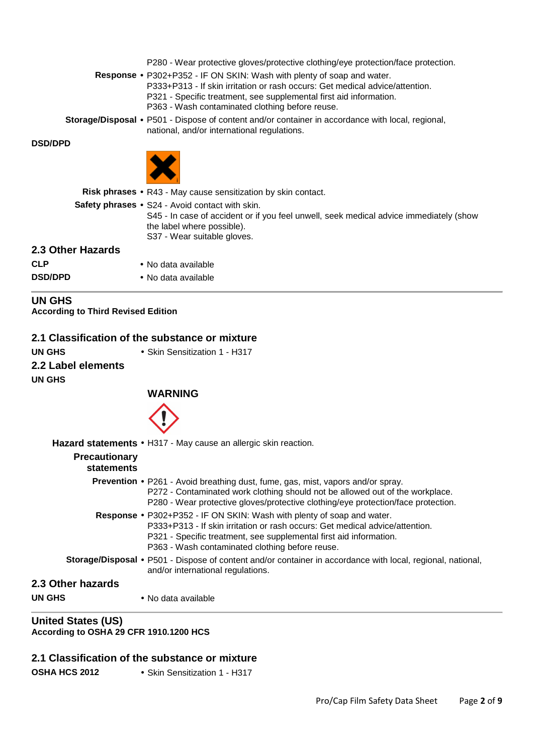P280 - Wear protective gloves/protective clothing/eye protection/face protection.

**Response** • P302+P352 - IF ON SKIN: Wash with plenty of soap and water. P333+P313 - If skin irritation or rash occurs: Get medical advice/attention. P321 - Specific treatment, see supplemental first aid information. P363 - Wash contaminated clothing before reuse.

**Storage/Disposal** • P501 - Dispose of content and/or container in accordance with local, regional, national, and/or international regulations.

#### **DSD/DPD**



|                   | <b>Risk phrases •</b> R43 - May cause sensitization by skin contact.                                                                                                                                          |
|-------------------|---------------------------------------------------------------------------------------------------------------------------------------------------------------------------------------------------------------|
|                   | <b>Safety phrases • S24 - Avoid contact with skin.</b><br>S45 - In case of accident or if you feel unwell, seek medical advice immediately (show<br>the label where possible).<br>S37 - Wear suitable gloves. |
| 2.3 Other Hazards |                                                                                                                                                                                                               |
| <b>CLP</b>        | • No data available                                                                                                                                                                                           |
| <b>DSD/DPD</b>    | • No data available                                                                                                                                                                                           |

**UN GHS According to Third Revised Edition**

#### **2.1 Classification of the substance or mixture**

**UN GHS** • Skin Sensitization 1 - H317 **2.2 Label elements UN GHS** 

**WARNING**



|                                    | Hazard statements • H317 - May cause an allergic skin reaction.                                                                                                                                                                                                                        |
|------------------------------------|----------------------------------------------------------------------------------------------------------------------------------------------------------------------------------------------------------------------------------------------------------------------------------------|
| <b>Precautionary</b><br>statements |                                                                                                                                                                                                                                                                                        |
|                                    | <b>Prevention •</b> P261 - Avoid breathing dust, fume, gas, mist, vapors and/or spray.<br>P272 - Contaminated work clothing should not be allowed out of the workplace.<br>P280 - Wear protective gloves/protective clothing/eye protection/face protection.                           |
|                                    | <b>Response •</b> P302+P352 - IF ON SKIN: Wash with plenty of soap and water.<br>P333+P313 - If skin irritation or rash occurs: Get medical advice/attention.<br>P321 - Specific treatment, see supplemental first aid information.<br>P363 - Wash contaminated clothing before reuse. |
|                                    | Storage/Disposal • P501 - Dispose of content and/or container in accordance with local, regional, national,<br>and/or international regulations.                                                                                                                                       |
| 2.3 Other hazards                  |                                                                                                                                                                                                                                                                                        |
| UN GHS                             | • No data available                                                                                                                                                                                                                                                                    |

#### **United States (US) According to OSHA 29 CFR 1910.1200 HCS**

## **2.1 Classification of the substance or mixture**

**OSHA HCS 2012** • Skin Sensitization 1 - H317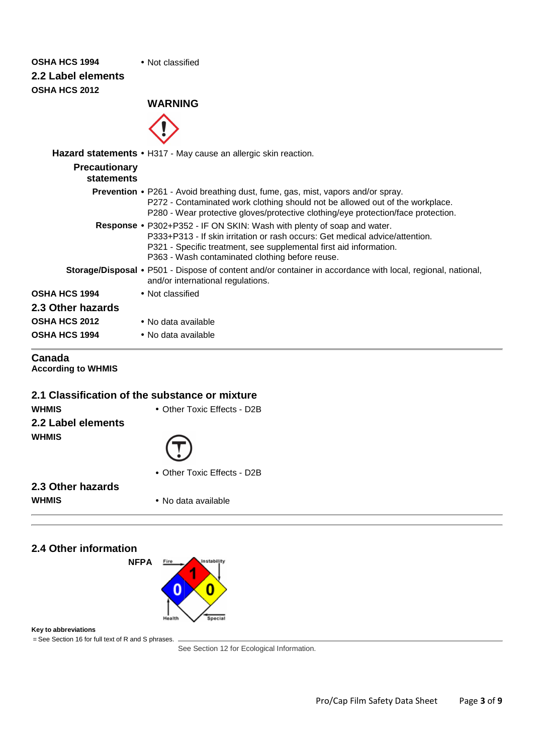## **OSHA HCS 1994** • Not classified

**2.2 Label elements OSHA HCS 2012** 

## **WARNING**



|                                    | Hazard statements • H317 - May cause an allergic skin reaction.                                                                                                                                                                                                                        |
|------------------------------------|----------------------------------------------------------------------------------------------------------------------------------------------------------------------------------------------------------------------------------------------------------------------------------------|
| <b>Precautionary</b><br>statements |                                                                                                                                                                                                                                                                                        |
|                                    | <b>Prevention •</b> P261 - Avoid breathing dust, fume, gas, mist, vapors and/or spray.<br>P272 - Contaminated work clothing should not be allowed out of the workplace.<br>P280 - Wear protective gloves/protective clothing/eye protection/face protection.                           |
|                                    | <b>Response •</b> P302+P352 - IF ON SKIN: Wash with plenty of soap and water.<br>P333+P313 - If skin irritation or rash occurs: Get medical advice/attention.<br>P321 - Specific treatment, see supplemental first aid information.<br>P363 - Wash contaminated clothing before reuse. |
|                                    | Storage/Disposal • P501 - Dispose of content and/or container in accordance with local, regional, national,<br>and/or international regulations.                                                                                                                                       |
| <b>OSHA HCS 1994</b>               | • Not classified                                                                                                                                                                                                                                                                       |
| 2.3 Other hazards                  |                                                                                                                                                                                                                                                                                        |
| <b>OSHA HCS 2012</b>               | • No data available                                                                                                                                                                                                                                                                    |
| <b>OSHA HCS 1994</b>               | • No data available                                                                                                                                                                                                                                                                    |

#### **Canada According to WHMIS**

#### **2.1 Classification of the substance or mixture**

**WHMIS** • Other Toxic Effects - D2B **2.2 Label elements WHMIS** 



• Other Toxic Effects - D2B

**2.3 Other hazards**

**WHMIS** • No data available

## **2.4 Other information**

**NFPA**

#### **Key to abbreviations**

= See Section 16 for full text of R and S phrases.

See Section 12 for Ecological Information.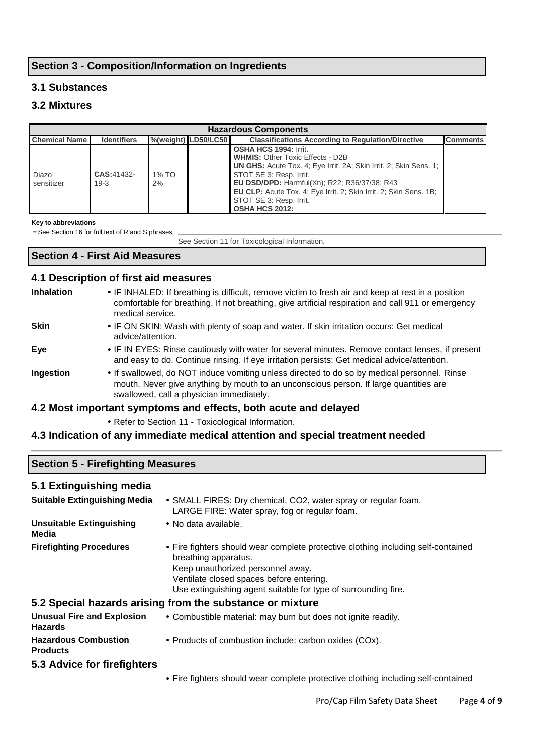## **Section 3 - Composition/Information on Ingredients**

## **3.1 Substances**

## **3.2 Mixtures**

| <b>Hazardous Components</b> |                    |          |                                         |                                                                          |                 |
|-----------------------------|--------------------|----------|-----------------------------------------|--------------------------------------------------------------------------|-----------------|
| <b>Chemical Name</b>        | <b>Identifiers</b> |          | %(weight) LD50/LC50                     | <b>Classifications According to Regulation/Directive</b>                 | <b>Comments</b> |
|                             |                    |          |                                         | <b>OSHA HCS 1994: Irrit.</b>                                             |                 |
|                             |                    |          | <b>WHMIS: Other Toxic Effects - D2B</b> |                                                                          |                 |
|                             |                    |          |                                         | UN GHS: Acute Tox. 4; Eye Irrit. 2A; Skin Irrit. 2; Skin Sens. 1;        |                 |
| Diazo                       | <b>CAS:41432-</b>  | $1\%$ TO |                                         | STOT SE 3: Resp. Irrit.                                                  |                 |
| sensitizer                  | $19-3$             | 2%       |                                         | EU DSD/DPD: Harmful(Xn); R22; R36/37/38; R43                             |                 |
|                             |                    |          |                                         | <b>EU CLP:</b> Acute Tox. 4: Eye Irrit. 2: Skin Irrit. 2: Skin Sens. 1B: |                 |
|                             |                    |          |                                         | STOT SE 3: Resp. Irrit.                                                  |                 |
|                             |                    |          |                                         | <b>OSHA HCS 2012:</b>                                                    |                 |

#### **Key to abbreviations**

= See Section 16 for full text of R and S phrases.

See Section 11 for Toxicological Information.

## **Section 4 - First Aid Measures**

#### **4.1 Description of first aid measures**

| <b>Inhalation</b> | • IF INHALED: If breathing is difficult, remove victim to fresh air and keep at rest in a position<br>comfortable for breathing. If not breathing, give artificial respiration and call 911 or emergency<br>medical service.     |
|-------------------|----------------------------------------------------------------------------------------------------------------------------------------------------------------------------------------------------------------------------------|
| <b>Skin</b>       | • IF ON SKIN: Wash with plenty of soap and water. If skin irritation occurs: Get medical<br>advice/attention.                                                                                                                    |
| Eye               | • IF IN EYES: Rinse cautiously with water for several minutes. Remove contact lenses, if present<br>and easy to do. Continue rinsing. If eye irritation persists: Get medical advice/attention.                                  |
| Ingestion         | . If swallowed, do NOT induce vomiting unless directed to do so by medical personnel. Rinse<br>mouth. Never give anything by mouth to an unconscious person. If large quantities are<br>swallowed, call a physician immediately. |
|                   | A 2 Meat impartant ownprisons and offertal hath courte and delayed                                                                                                                                                               |

#### **4.2 Most important symptoms and effects, both acute and delayed**

• Refer to Section 11 - Toxicological Information.

#### **4.3 Indication of any immediate medical attention and special treatment needed**

| <b>Section 5 - Firefighting Measures</b> |  |
|------------------------------------------|--|
| 5.1 Extinguishing media                  |  |

| <b>Suitable Extinguishing Media</b>                 | • SMALL FIRES: Dry chemical, CO2, water spray or regular foam.<br>LARGE FIRE: Water spray, fog or regular foam.                                                                                                                                              |
|-----------------------------------------------------|--------------------------------------------------------------------------------------------------------------------------------------------------------------------------------------------------------------------------------------------------------------|
| <b>Unsuitable Extinguishing</b><br>Media            | • No data available.                                                                                                                                                                                                                                         |
| <b>Firefighting Procedures</b>                      | • Fire fighters should wear complete protective clothing including self-contained<br>breathing apparatus.<br>Keep unauthorized personnel away.<br>Ventilate closed spaces before entering.<br>Use extinguishing agent suitable for type of surrounding fire. |
|                                                     | 5.2 Special hazards arising from the substance or mixture                                                                                                                                                                                                    |
| <b>Unusual Fire and Explosion</b><br><b>Hazards</b> | • Combustible material: may burn but does not ignite readily.                                                                                                                                                                                                |
| <b>Hazardous Combustion</b><br><b>Products</b>      | • Products of combustion include: carbon oxides (COx).                                                                                                                                                                                                       |
| 5.3 Advice for firefighters                         |                                                                                                                                                                                                                                                              |

• Fire fighters should wear complete protective clothing including self-contained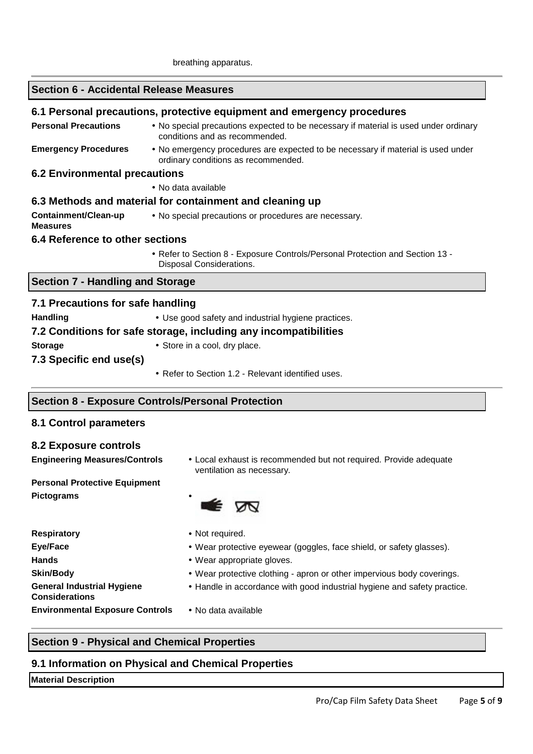#### **Section 6 - Accidental Release Measures**

#### **6.1 Personal precautions, protective equipment and emergency procedures**

**Personal Precautions •** No special precautions expected to be necessary if material is used under ordinary conditions and as recommended. **Emergency Procedures** • No emergency procedures are expected to be necessary if material is used under ordinary conditions as recommended.

#### **6.2 Environmental precautions**

• No data available

#### **6.3 Methods and material for containment and cleaning up**

**Containment/Clean-up Measures**  • No special precautions or procedures are necessary.

#### **6.4 Reference to other sections**

• Refer to Section 8 - Exposure Controls/Personal Protection and Section 13 - Disposal Considerations.

#### **Section 7 - Handling and Storage**

| 7.1 Precautions for safe handling                                |                                                     |  |  |
|------------------------------------------------------------------|-----------------------------------------------------|--|--|
| <b>Handling</b>                                                  | • Use good safety and industrial hygiene practices. |  |  |
| 7.2 Conditions for safe storage, including any incompatibilities |                                                     |  |  |
| <b>Storage</b>                                                   | • Store in a cool, dry place.                       |  |  |
| 7.3 Specific end use(s)                                          |                                                     |  |  |
|                                                                  | • Refer to Section 1.2 - Relevant identified uses.  |  |  |

#### **Section 8 - Exposure Controls/Personal Protection**

#### **8.1 Control parameters**

#### **8.2 Exposure controls**

**Engineering Measures/Controls** • Local exhaust is recommended but not required. Provide adequate ventilation as necessary.

#### **Personal Protective Equipment Pictograms** •



**Respiratory** • Not required. **Hands** • Wear appropriate gloves. **General Industrial Hygiene Considerations Environmental Exposure Controls** • No data available

- 
- **Eye/Face**  Wear protective eyewear (goggles, face shield, or safety glasses).
	-
- **Skin/Body •** Wear protective clothing apron or other impervious body coverings.
	- Handle in accordance with good industrial hygiene and safety practice.
	-

## **Section 9 - Physical and Chemical Properties**

#### **9.1 Information on Physical and Chemical Properties**

#### **Material Description**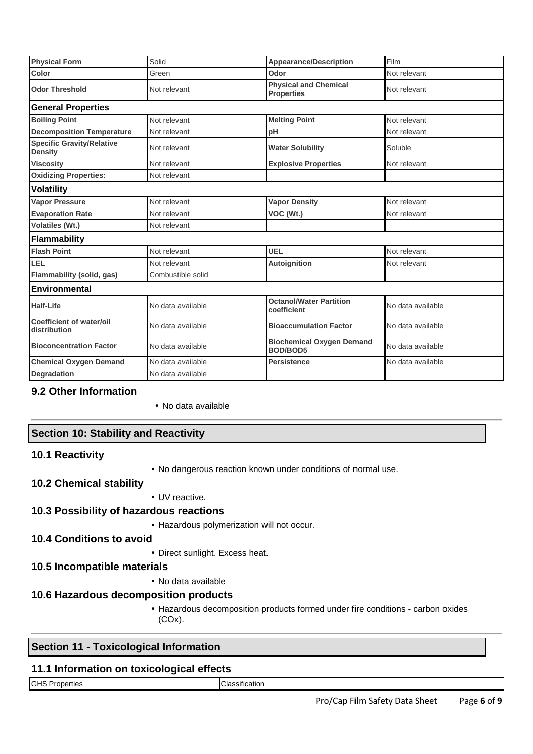| <b>Physical Form</b>                               | Solid             | <b>Appearance/Description</b>                       | Film              |
|----------------------------------------------------|-------------------|-----------------------------------------------------|-------------------|
| Color                                              | Green             | Odor                                                | Not relevant      |
| <b>Odor Threshold</b>                              | Not relevant      | <b>Physical and Chemical</b><br><b>Properties</b>   | Not relevant      |
| <b>General Properties</b>                          |                   |                                                     |                   |
| <b>Boiling Point</b>                               | Not relevant      | <b>Melting Point</b>                                | Not relevant      |
| <b>Decomposition Temperature</b>                   | Not relevant      | pH                                                  | Not relevant      |
| <b>Specific Gravity/Relative</b><br><b>Density</b> | Not relevant      | <b>Water Solubility</b>                             | Soluble           |
| <b>Viscosity</b>                                   | Not relevant      | <b>Explosive Properties</b>                         | Not relevant      |
| <b>Oxidizing Properties:</b>                       | Not relevant      |                                                     |                   |
| <b>Volatility</b>                                  |                   |                                                     |                   |
| <b>Vapor Pressure</b>                              | Not relevant      | <b>Vapor Density</b>                                | Not relevant      |
| <b>Evaporation Rate</b>                            | Not relevant      | VOC (Wt.)                                           | Not relevant      |
| <b>Volatiles (Wt.)</b>                             | Not relevant      |                                                     |                   |
| Flammability                                       |                   |                                                     |                   |
| <b>Flash Point</b>                                 | Not relevant      | <b>UEL</b>                                          | Not relevant      |
| LEL                                                | Not relevant      | <b>Autoignition</b>                                 | Not relevant      |
| Flammability (solid, gas)                          | Combustible solid |                                                     |                   |
| <b>Environmental</b>                               |                   |                                                     |                   |
| <b>Half-Life</b>                                   | No data available | <b>Octanol/Water Partition</b><br>coefficient       | No data available |
| Coefficient of water/oil<br>distribution           | No data available | <b>Bioaccumulation Factor</b>                       | No data available |
| <b>Bioconcentration Factor</b>                     | No data available | <b>Biochemical Oxygen Demand</b><br><b>BOD/BOD5</b> | No data available |
| <b>Chemical Oxygen Demand</b>                      | No data available | <b>Persistence</b>                                  | No data available |
| <b>Degradation</b>                                 | No data available |                                                     |                   |

#### **9.2 Other Information**

• No data available

#### **Section 10: Stability and Reactivity**

#### **10.1 Reactivity**

• No dangerous reaction known under conditions of normal use.

#### **10.2 Chemical stability**

• UV reactive.

## **10.3 Possibility of hazardous reactions**

• Hazardous polymerization will not occur.

#### **10.4 Conditions to avoid**

• Direct sunlight. Excess heat.

#### **10.5 Incompatible materials**

• No data available

## **10.6 Hazardous decomposition products**

• Hazardous decomposition products formed under fire conditions - carbon oxides (COx).

## **Section 11 - Toxicological Information**

#### **11.1 Information on toxicological effects**

GHS Properties Classification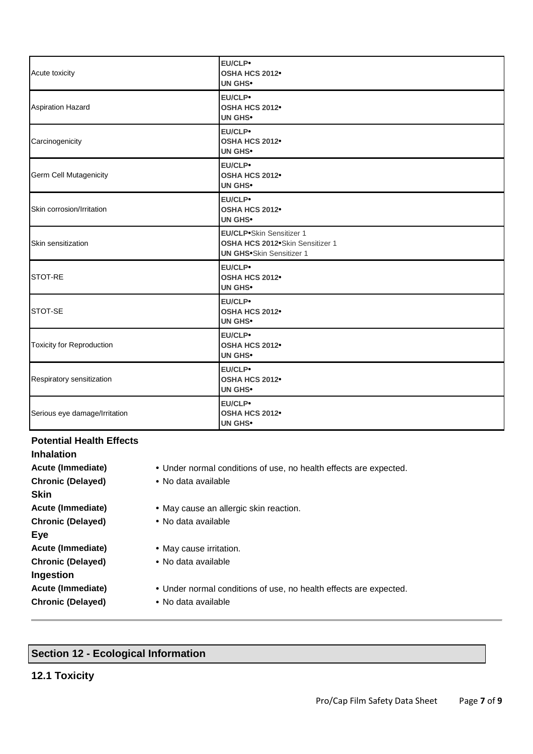| Acute toxicity                   | EU/CLP•<br>OSHA HCS 2012 <sup>•</sup><br><b>UN GHS*</b>                                        |
|----------------------------------|------------------------------------------------------------------------------------------------|
| <b>Aspiration Hazard</b>         | EU/CLP•<br>OSHA HCS 2012 <sup>•</sup><br><b>UN GHS•</b>                                        |
| Carcinogenicity                  | EU/CLP•<br>OSHA HCS 2012 <sup>•</sup><br><b>UN GHS*</b>                                        |
| Germ Cell Mutagenicity           | EU/CLP•<br>OSHA HCS 2012<br><b>UN GHS*</b>                                                     |
| Skin corrosion/Irritation        | EU/CLP•<br>OSHA HCS 2012 <sup>•</sup><br><b>UN GHS</b>                                         |
| Skin sensitization               | EU/CLP.Skin Sensitizer 1<br>OSHA HCS 2012 Skin Sensitizer 1<br><b>UN GHS•Skin Sensitizer 1</b> |
| STOT-RE                          | EU/CLP•<br>OSHA HCS 2012 <sup>•</sup><br><b>UN GHS*</b>                                        |
| STOT-SE                          | EU/CLP•<br>OSHA HCS 2012 <sup>•</sup><br><b>UN GHS•</b>                                        |
| <b>Toxicity for Reproduction</b> | EU/CLP•<br>OSHA HCS 2012 <sup>•</sup><br><b>UN GHS*</b>                                        |
| Respiratory sensitization        | EU/CLP•<br>OSHA HCS 2012 <sup>•</sup><br><b>UN GHS*</b>                                        |
| Serious eye damage/Irritation    | EU/CLP•<br>OSHA HCS 2012 <sup>•</sup><br><b>UN GHS•</b>                                        |

#### **Potential Health Effects**

| <b>Inhalation</b>        |                                                                   |
|--------------------------|-------------------------------------------------------------------|
| <b>Acute (Immediate)</b> | • Under normal conditions of use, no health effects are expected. |
| <b>Chronic (Delayed)</b> | • No data available                                               |
| <b>Skin</b>              |                                                                   |
| Acute (Immediate)        | • May cause an allergic skin reaction.                            |
| <b>Chronic (Delayed)</b> | • No data available                                               |
| Eye                      |                                                                   |
| Acute (Immediate)        | • May cause irritation.                                           |
| <b>Chronic (Delayed)</b> | • No data available                                               |
| Ingestion                |                                                                   |
| Acute (Immediate)        | • Under normal conditions of use, no health effects are expected. |
| <b>Chronic (Delayed)</b> | • No data available                                               |

# **Section 12 - Ecological Information**

**12.1 Toxicity**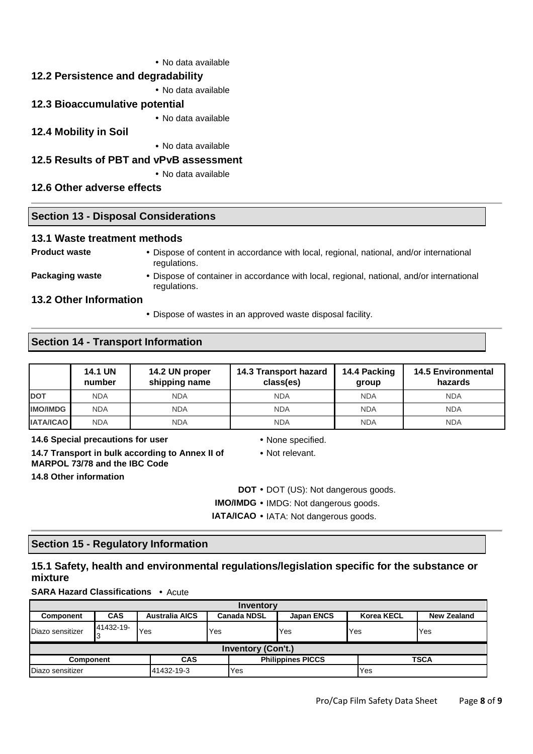• No data available

## **12.2 Persistence and degradability**

• No data available

#### **12.3 Bioaccumulative potential**

• No data available

## **12.4 Mobility in Soil**

• No data available

## **12.5 Results of PBT and vPvB assessment**

• No data available

regulations.

## **12.6 Other adverse effects**

#### **Section 13 - Disposal Considerations**

#### **13.1 Waste treatment methods**

- **Product waste**  Dispose of content in accordance with local, regional, national, and/or international regulations.
- 
- **Packaging waste •** Dispose of container in accordance with local, regional, national, and/or international

## **13.2 Other Information**

• Dispose of wastes in an approved waste disposal facility.

## **Section 14 - Transport Information**

|                  | <b>14.1 UN</b><br>number | 14.2 UN proper<br>shipping name | 14.3 Transport hazard<br>class(es) | 14.4 Packing<br>group | <b>14.5 Environmental</b><br>hazards |
|------------------|--------------------------|---------------------------------|------------------------------------|-----------------------|--------------------------------------|
| <b>DOT</b>       | <b>NDA</b>               | <b>NDA</b>                      | <b>NDA</b>                         | <b>NDA</b>            | <b>NDA</b>                           |
| <b>IMO/IMDG</b>  | <b>NDA</b>               | <b>NDA</b>                      | <b>NDA</b>                         | <b>NDA</b>            | <b>NDA</b>                           |
| <b>IATA/ICAO</b> | <b>NDA</b>               | <b>NDA</b>                      | <b>NDA</b>                         | <b>NDA</b>            | <b>NDA</b>                           |

**14.6 Special precautions for user** • None specified.

**14.7 Transport in bulk according to Annex II of MARPOL 73/78 and the IBC Code 14.8 Other information** 

- 
- Not relevant.

**DOT** • DOT (US): Not dangerous goods.

- **IMO/IMDG** IMDG: Not dangerous goods.
- **IATA/ICAO** IATA: Not dangerous goods.

## **Section 15 - Regulatory Information**

## **15.1 Safety, health and environmental regulations/legislation specific for the substance or mixture**

**SARA Hazard Classifications** • Acute

| Inventory                      |            |                          |                    |                   |                   |                    |  |  |
|--------------------------------|------------|--------------------------|--------------------|-------------------|-------------------|--------------------|--|--|
| <b>Component</b>               | <b>CAS</b> | <b>Australia AICS</b>    | <b>Canada NDSL</b> | <b>Japan ENCS</b> | <b>Korea KECL</b> | <b>New Zealand</b> |  |  |
| Diazo sensitizer               | 41432-19-  | Yes                      | Yes                | Yes               | Yes               | Yes                |  |  |
| <b>Inventory (Con't.)</b>      |            |                          |                    |                   |                   |                    |  |  |
| <b>CAS</b><br><b>Component</b> |            | <b>Philippines PICCS</b> |                    | <b>TSCA</b>       |                   |                    |  |  |
| Diazo sensitizer               |            | 41432-19-3               | Yes                |                   | Yes               |                    |  |  |